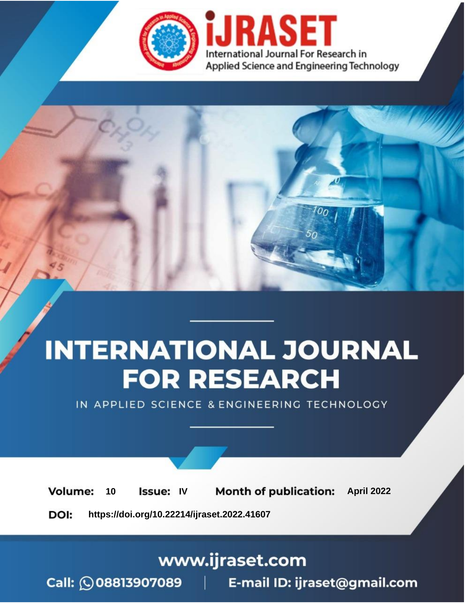

# **INTERNATIONAL JOURNAL FOR RESEARCH**

IN APPLIED SCIENCE & ENGINEERING TECHNOLOGY

10 **Issue: IV Month of publication:** April 2022 **Volume:** 

**https://doi.org/10.22214/ijraset.2022.41607**DOI:

www.ijraset.com

Call: 008813907089 | E-mail ID: ijraset@gmail.com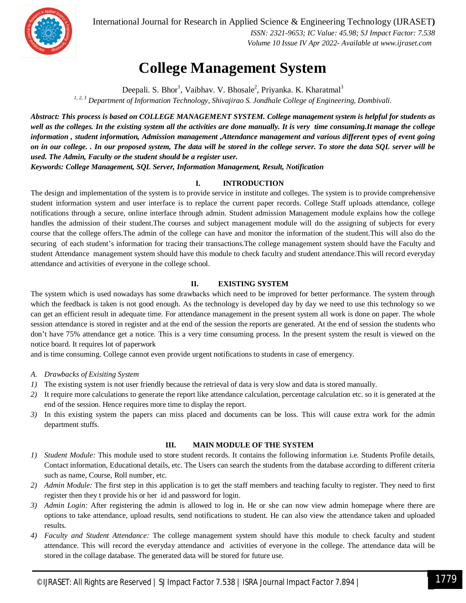

International Journal for Research in Applied Science & Engineering Technology (IJRASET**)**

 *ISSN: 2321-9653; IC Value: 45.98; SJ Impact Factor: 7.538 Volume 10 Issue IV Apr 2022- Available at www.ijraset.com*

### **College Management System**

Deepali. S. Bhor<sup>1</sup>, Vaibhav. V. Bhosale<sup>2</sup>, Priyanka. K. Kharatmal<sup>3</sup> *1, 2, 3 Department of Information Technology, Shivajirao S. Jondhale College of Engineering, Dombivali.*

*Abstract: This process is based on COLLEGE MANAGEMENT SYSTEM. College management system is helpful for students as well as the colleges. In the existing system all the activities are done manually. It is very time consuming.It manage the college information , student information, Admission management ,Attendance management and various different types of event going on in our college. . In our proposed system, The data will be stored in the college server. To store the data SQL server will be used. The Admin, Faculty or the student should be a register user.*

*Keywords: College Management, SQL Server, Information Management, Result, Notification*

#### **I. INTRODUCTION**

The design and implementation of the system is to provide service in institute and colleges. The system is to provide comprehensive student information system and user interface is to replace the current paper records. College Staff uploads attendance, college notifications through a secure, online interface through admin. Student admission Management module explains how the college handles the admission of their student.The courses and subject management module will do the assigning of subjects for every course that the college offers.The admin of the college can have and monitor the information of the student.This will also do the securing of each student's information for tracing their transactions.The college management system should have the Faculty and student Attendance management system should have this module to check faculty and student attendance.This will record everyday attendance and activities of everyone in the college school.

#### **II. EXISTING SYSTEM**

The system which is used nowadays has some drawbacks which need to be improved for better performance. The system through which the feedback is taken is not good enough. As the technology is developed day by day we need to use this technology so we can get an efficient result in adequate time. For attendance management in the present system all work is done on paper. The whole session attendance is stored in register and at the end of the session the reports are generated. At the end of session the students who don't have 75% attendance get a notice. This is a very time consuming process. In the present system the result is viewed on the notice board. It requires lot of paperwork

and is time consuming. College cannot even provide urgent notifications to students in case of emergency.

- *A. Drawbacks of Exisiting System*
- *1)* The existing system is not user friendly because the retrieval of data is very slow and data is stored manually.
- *2)* It require more calculations to generate the report like attendance calculation, percentage calculation etc. so it is generated at the end of the session. Hence requires more time to display the report.
- *3)* In this existing system the papers can miss placed and documents can be loss. This will cause extra work for the admin department stuffs.

#### **III. MAIN MODULE OF THE SYSTEM**

- *1) Student Module:* This module used to store student records. It contains the following information i.e. Students Profile details, Contact information, Educational details, etc. The Users can search the students from the database according to different criteria such as name, Course, Roll number, etc.
- *2) Admin Module:* The first step in this application is to get the staff members and teaching faculty to register. They need to first register then they t provide his or her id and password for login.
- *3) Admin Login:* After registering the admin is allowed to log in. He or she can now view admin homepage where there are options to take attendance, upload results, send notifications to student. He can also view the attendance taken and uploaded results.
- *4) Faculty and Student Attendance:* The college management system should have this module to check faculty and student attendance. This will record the everyday attendance and activities of everyone in the college. The attendance data will be stored in the collage database. The generated data will be stored for future use.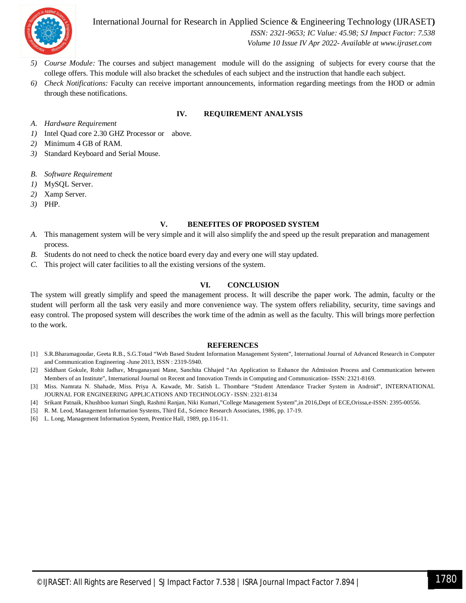

International Journal for Research in Applied Science & Engineering Technology (IJRASET**)**  *ISSN: 2321-9653; IC Value: 45.98; SJ Impact Factor: 7.538 Volume 10 Issue IV Apr 2022- Available at www.ijraset.com*

- *5) Course Module:* The courses and subject management module will do the assigning of subjects for every course that the college offers. This module will also bracket the schedules of each subject and the instruction that handle each subject.
- *6) Check Notifications:* Faculty can receive important announcements, information regarding meetings from the HOD or admin through these notifications.

#### **IV. REQUIREMENT ANALYSIS**

- *A. Hardware Requirement*
- *1)* Intel Quad core 2.30 GHZ Processor or above.
- *2)* Minimum 4 GB of RAM.
- *3)* Standard Keyboard and Serial Mouse.
- *B. Software Requirement*
- *1)* MySQL Server.
- *2)* Xamp Server.
- *3)* PHP.

#### **V. BENEFITES OF PROPOSED SYSTEM**

- *A.* This management system will be very simple and it will also simplify the and speed up the result preparation and management process.
- *B.* Students do not need to check the notice board every day and every one will stay updated.
- *C.* This project will cater facilities to all the existing versions of the system.

#### **VI. CONCLUSION**

The system will greatly simplify and speed the management process. It will describe the paper work. The admin, faculty or the student will perform all the task very easily and more convenience way. The system offers reliability, security, time savings and easy control. The proposed system will describes the work time of the admin as well as the faculty. This will brings more perfection to the work.

#### **REFERENCES**

- [1] S.R.Bharamagoudar, Geeta R.B., S.G.Totad "Web Based Student Information Management System", International Journal of Advanced Research in Computer and Communication Engineering -June 2013, ISSN : 2319-5940.
- [2] Siddhant Gokule, Rohit Jadhav, Mruganayani Mane, Sanchita Chhajed "An Application to Enhance the Admission Process and Communication between Members of an Institute", International Journal on Recent and Innovation Trends in Computing and Communication- ISSN: 2321-8169.
- [3] Miss. Namrata N. Shahade, Miss. Priya A. Kawade, Mr. Satish L. Thombare "Student Attendance Tracker System in Android", INTERNATIONAL JOURNAL FOR ENGINEERING APPLICATIONS AND TECHNOLOGY- ISSN: 2321-8134
- [4] Srikant Patnaik, Khushboo kumari Singh, Rashmi Ranjan, Niki Kumari,"College Management System",in 2016,Dept of ECE,Orissa,e-ISSN: 2395-00556.
- [5] R. M. Leod, Management Information Systems, Third Ed., Science Research Associates, 1986, pp. 17-19.
- [6] L. Long, Management Information System, Prentice Hall, 1989, pp.116-11.